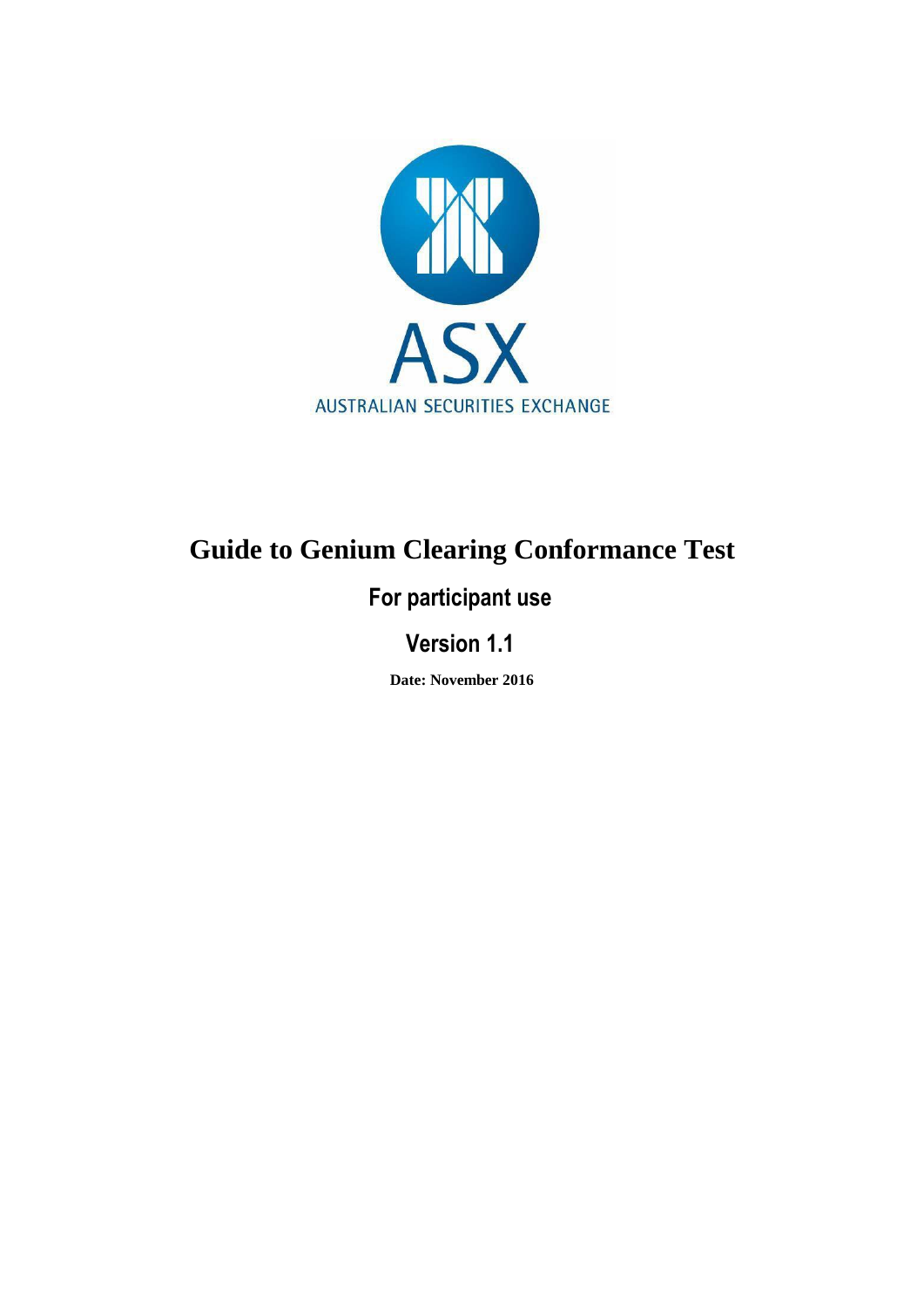

### **Guide to Genium Clearing Conformance Test**

#### **For participant use**

#### **Version 1.1**

**Date: November 2016**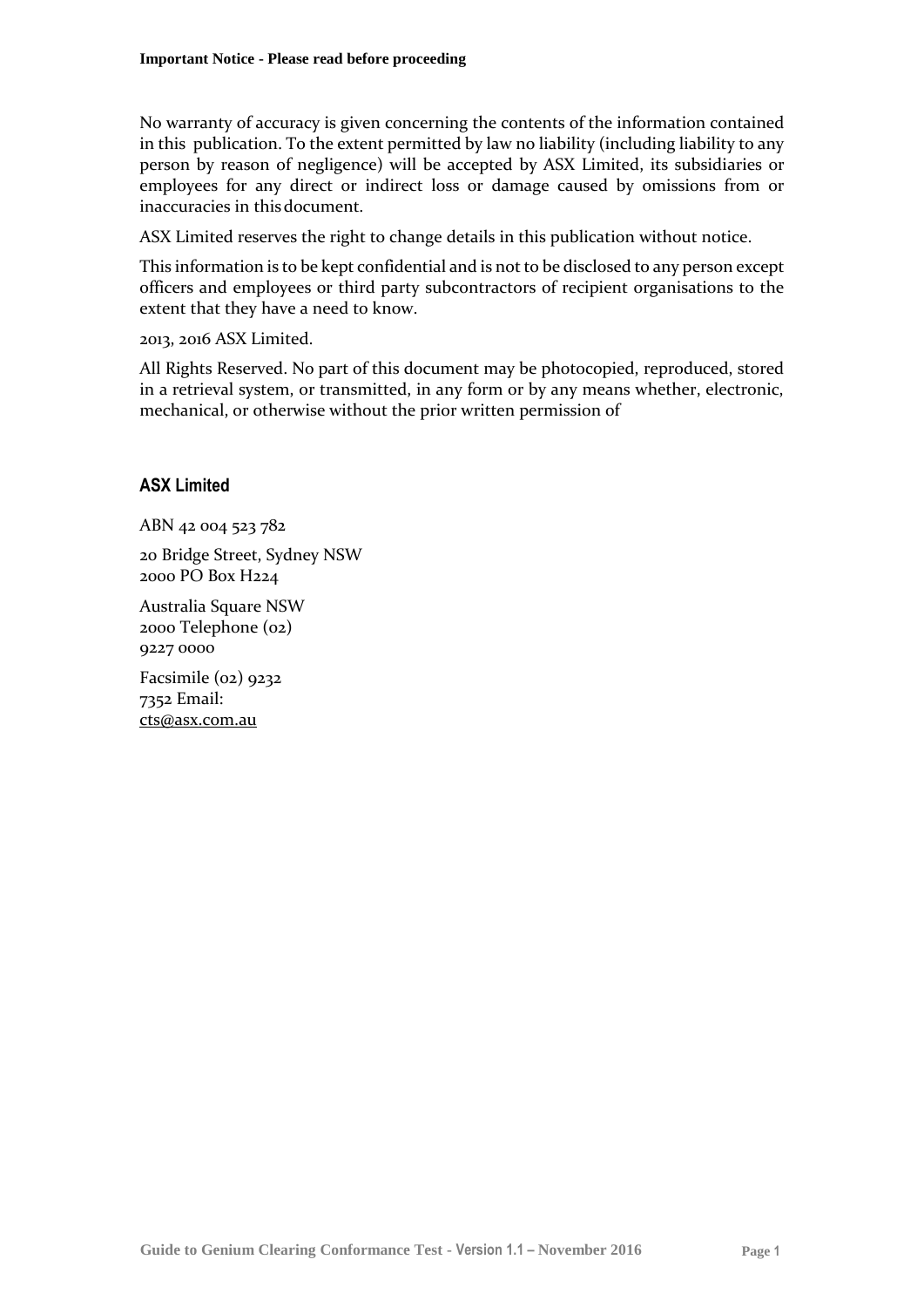No warranty of accuracy is given concerning the contents of the information contained in this publication. To the extent permitted by law no liability (including liability to any person by reason of negligence) will be accepted by ASX Limited, its subsidiaries or employees for any direct or indirect loss or damage caused by omissions from or inaccuracies in thisdocument.

ASX Limited reserves the right to change details in this publication without notice.

This information is to be kept confidential and is not to be disclosed to any person except officers and employees or third party subcontractors of recipient organisations to the extent that they have a need to know.

2013, 2016 ASX Limited.

All Rights Reserved. No part of this document may be photocopied, reproduced, stored in a retrieval system, or transmitted, in any form or by any means whether, electronic, mechanical, or otherwise without the prior written permission of

#### **ASX Limited**

ABN 42 004 523 782

20 Bridge Street, Sydney NSW 2000 PO Box H224

Australia Square NSW 2000 Telephone (02) 9227 0000

Facsimile (02) 9232 7352 Email: [cts@asx.com.au](mailto:cts@asx.com.au)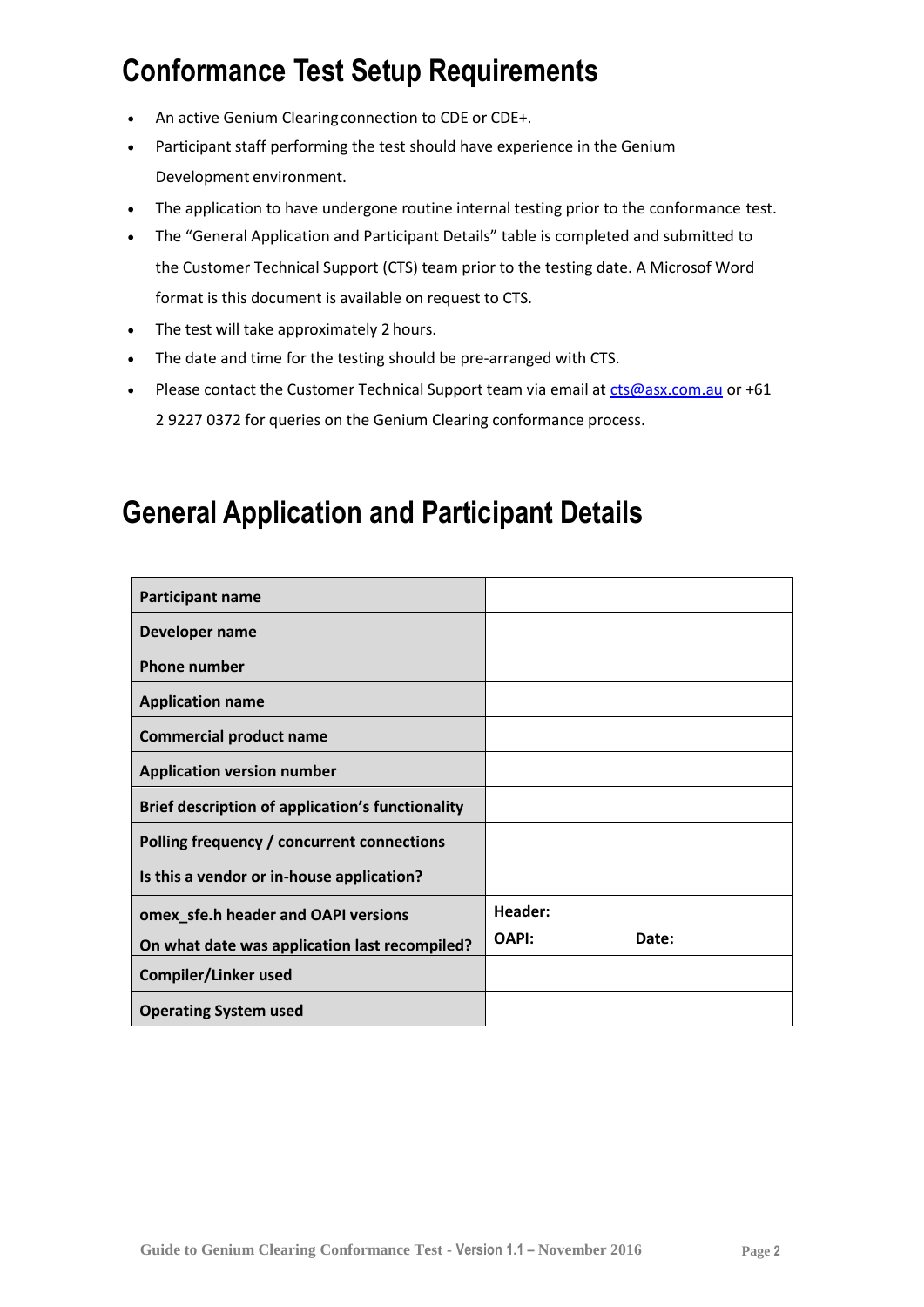# **Conformance Test Setup Requirements**

- An active Genium Clearingconnection to CDE or CDE+.
- Participant staff performing the test should have experience in the Genium Development environment.
- The application to have undergone routine internal testing prior to the conformance test.
- The "General Application and Participant Details" table is completed and submitted to the Customer Technical Support (CTS) team prior to the testing date. A Microsof Word format is this document is available on request to CTS.
- The test will take approximately 2 hours.
- The date and time for the testing should be pre-arranged with CTS.
- Please contact the Customer Technical Support team via email at  $cts@ass.com.au$  or +61 2 9227 0372 for queries on the Genium Clearing conformance process.

## **General Application and Participant Details**

| Participant name                                 |                |
|--------------------------------------------------|----------------|
| Developer name                                   |                |
| <b>Phone number</b>                              |                |
| <b>Application name</b>                          |                |
| <b>Commercial product name</b>                   |                |
| <b>Application version number</b>                |                |
| Brief description of application's functionality |                |
| Polling frequency / concurrent connections       |                |
| Is this a vendor or in-house application?        |                |
| omex_sfe.h header and OAPI versions              | Header:        |
| On what date was application last recompiled?    | OAPI:<br>Date: |
| Compiler/Linker used                             |                |
| <b>Operating System used</b>                     |                |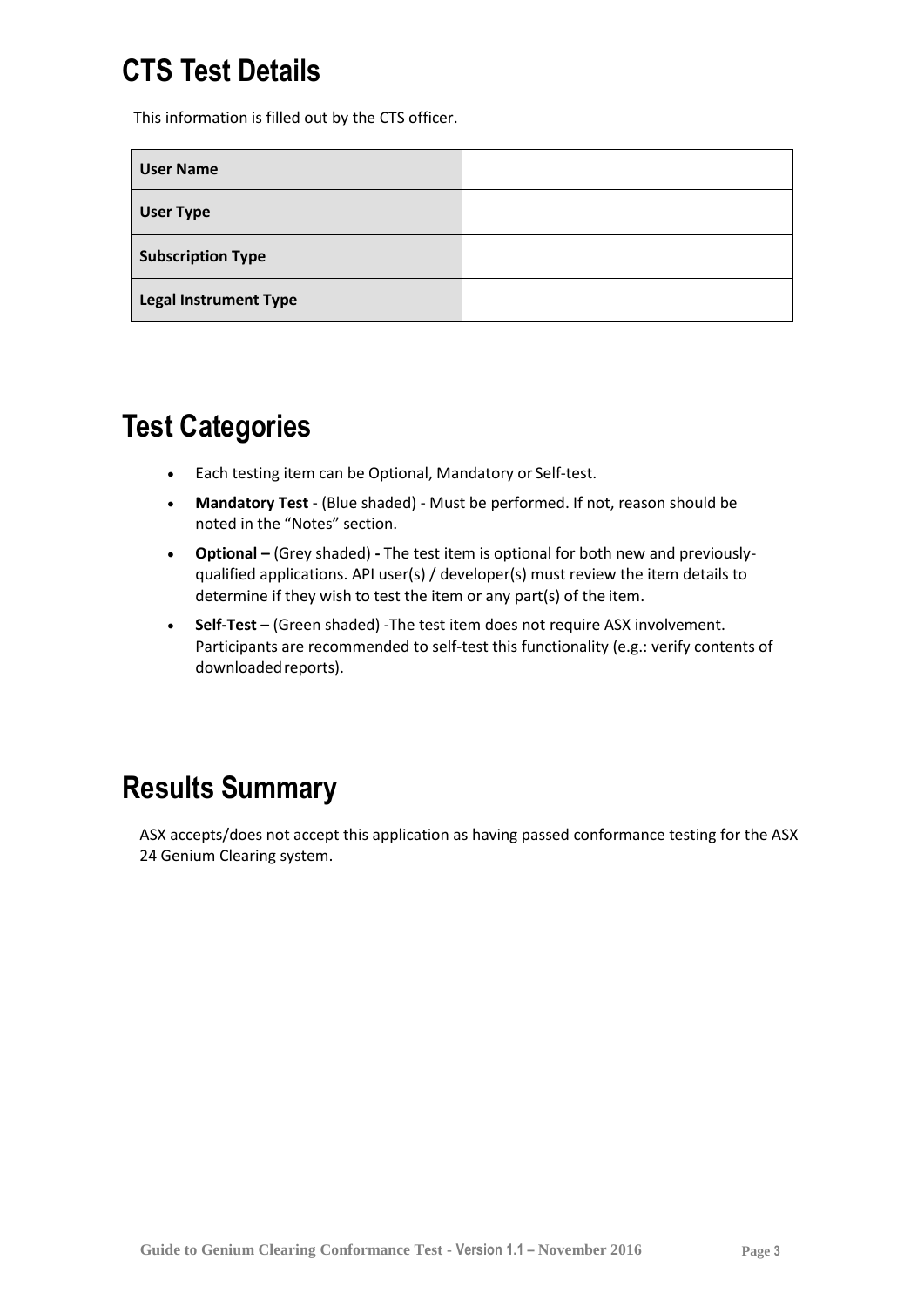# **CTS Test Details**

This information is filled out by the CTS officer.

| <b>User Name</b>             |  |
|------------------------------|--|
| <b>User Type</b>             |  |
| <b>Subscription Type</b>     |  |
| <b>Legal Instrument Type</b> |  |

## **Test Categories**

- Each testing item can be Optional, Mandatory or Self-test.
- **Mandatory Test**  (Blue shaded) Must be performed. If not, reason should be noted in the "Notes" section.
- **Optional –** (Grey shaded) **-** The test item is optional for both new and previouslyqualified applications. API user(s) / developer(s) must review the item details to determine if they wish to test the item or any part(s) of the item.
- **Self-Test**  (Green shaded) -The test item does not require ASX involvement. Participants are recommended to self-test this functionality (e.g.: verify contents of downloaded reports).

# **Results Summary**

ASX accepts/does not accept this application as having passed conformance testing for the ASX 24 Genium Clearing system.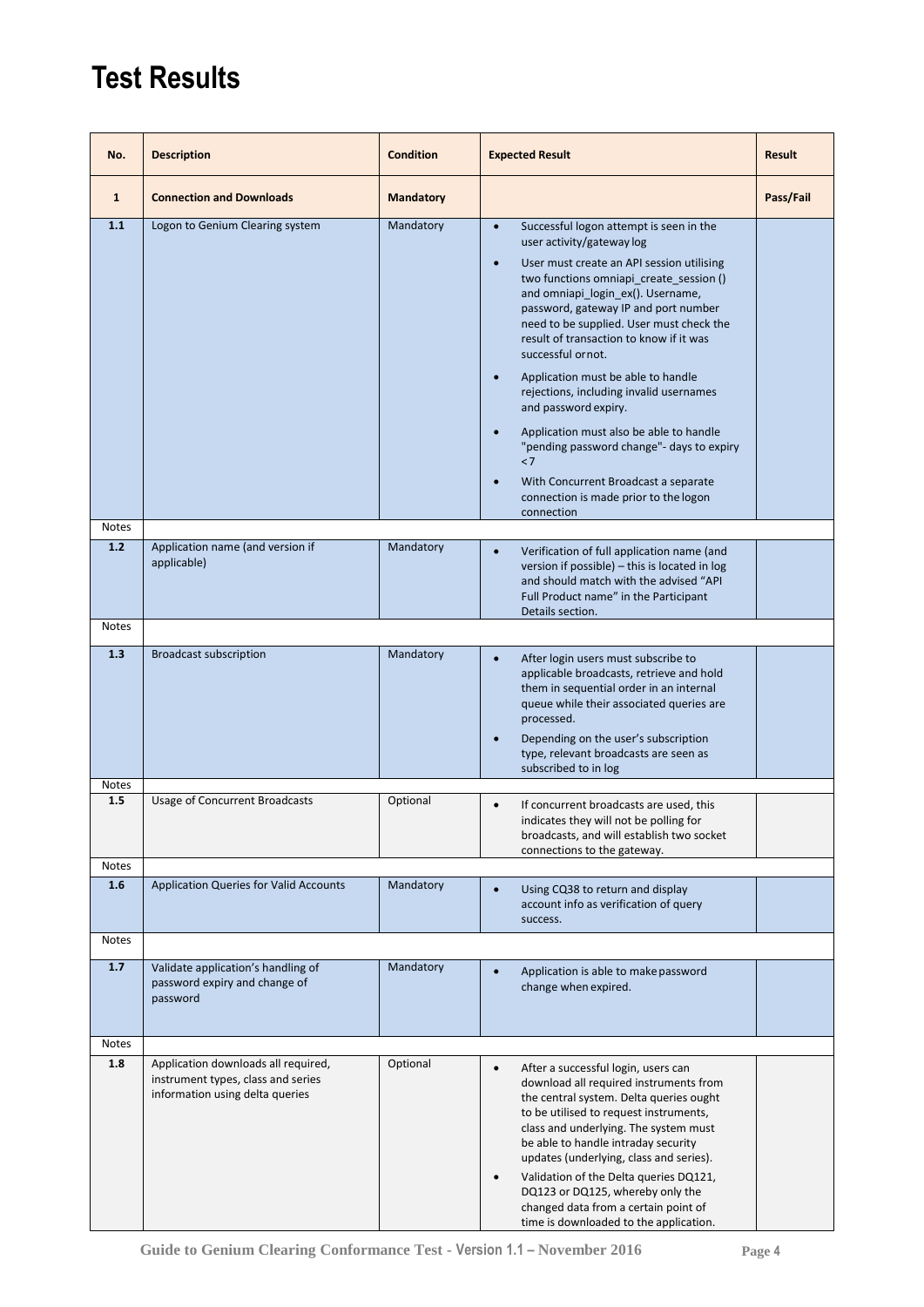# **Test Results**

| No.          | <b>Description</b>                                                                                           | <b>Condition</b> | <b>Expected Result</b>                                                                                                                                                                                                                                                                                                                                                                                                                                                                                                                                                                                                                                                     | <b>Result</b> |
|--------------|--------------------------------------------------------------------------------------------------------------|------------------|----------------------------------------------------------------------------------------------------------------------------------------------------------------------------------------------------------------------------------------------------------------------------------------------------------------------------------------------------------------------------------------------------------------------------------------------------------------------------------------------------------------------------------------------------------------------------------------------------------------------------------------------------------------------------|---------------|
| $\mathbf{1}$ | <b>Connection and Downloads</b>                                                                              | <b>Mandatory</b> |                                                                                                                                                                                                                                                                                                                                                                                                                                                                                                                                                                                                                                                                            | Pass/Fail     |
| 1.1          | Logon to Genium Clearing system                                                                              | Mandatory        | Successful logon attempt is seen in the<br>$\bullet$<br>user activity/gateway log<br>User must create an API session utilising<br>two functions omniapi_create_session ()<br>and omniapi_login_ex(). Username,<br>password, gateway IP and port number<br>need to be supplied. User must check the<br>result of transaction to know if it was<br>successful or not.<br>Application must be able to handle<br>rejections, including invalid usernames<br>and password expiry.<br>Application must also be able to handle<br>"pending password change"- days to expiry<br>< 7<br>With Concurrent Broadcast a separate<br>connection is made prior to the logon<br>connection |               |
| <b>Notes</b> |                                                                                                              |                  |                                                                                                                                                                                                                                                                                                                                                                                                                                                                                                                                                                                                                                                                            |               |
| 1.2          | Application name (and version if<br>applicable)                                                              | Mandatory        | Verification of full application name (and<br>version if possible) - this is located in log<br>and should match with the advised "API<br>Full Product name" in the Participant<br>Details section.                                                                                                                                                                                                                                                                                                                                                                                                                                                                         |               |
| <b>Notes</b> |                                                                                                              |                  |                                                                                                                                                                                                                                                                                                                                                                                                                                                                                                                                                                                                                                                                            |               |
| 1.3          | <b>Broadcast subscription</b>                                                                                | Mandatory        | After login users must subscribe to<br>$\bullet$<br>applicable broadcasts, retrieve and hold<br>them in sequential order in an internal<br>queue while their associated queries are<br>processed.<br>Depending on the user's subscription<br>type, relevant broadcasts are seen as<br>subscribed to in log                                                                                                                                                                                                                                                                                                                                                                 |               |
| Notes        |                                                                                                              |                  |                                                                                                                                                                                                                                                                                                                                                                                                                                                                                                                                                                                                                                                                            |               |
| 1.5          | <b>Usage of Concurrent Broadcasts</b>                                                                        | Optional         | If concurrent broadcasts are used, this<br>indicates they will not be polling for<br>broadcasts, and will establish two socket<br>connections to the gateway.                                                                                                                                                                                                                                                                                                                                                                                                                                                                                                              |               |
| <b>Notes</b> |                                                                                                              |                  |                                                                                                                                                                                                                                                                                                                                                                                                                                                                                                                                                                                                                                                                            |               |
| 1.6          | <b>Application Queries for Valid Accounts</b>                                                                | Mandatory        | Using CQ38 to return and display<br>$\bullet$<br>account info as verification of query<br>success.                                                                                                                                                                                                                                                                                                                                                                                                                                                                                                                                                                         |               |
| Notes        |                                                                                                              |                  |                                                                                                                                                                                                                                                                                                                                                                                                                                                                                                                                                                                                                                                                            |               |
| 1.7          | Validate application's handling of<br>password expiry and change of<br>password                              | Mandatory        | Application is able to make password<br>change when expired.                                                                                                                                                                                                                                                                                                                                                                                                                                                                                                                                                                                                               |               |
| <b>Notes</b> |                                                                                                              |                  |                                                                                                                                                                                                                                                                                                                                                                                                                                                                                                                                                                                                                                                                            |               |
| 1.8          | Application downloads all required,<br>instrument types, class and series<br>information using delta queries | Optional         | After a successful login, users can<br>٠<br>download all required instruments from<br>the central system. Delta queries ought<br>to be utilised to request instruments,<br>class and underlying. The system must<br>be able to handle intraday security<br>updates (underlying, class and series).<br>Validation of the Delta queries DQ121,<br>$\bullet$<br>DQ123 or DQ125, whereby only the<br>changed data from a certain point of<br>time is downloaded to the application.                                                                                                                                                                                            |               |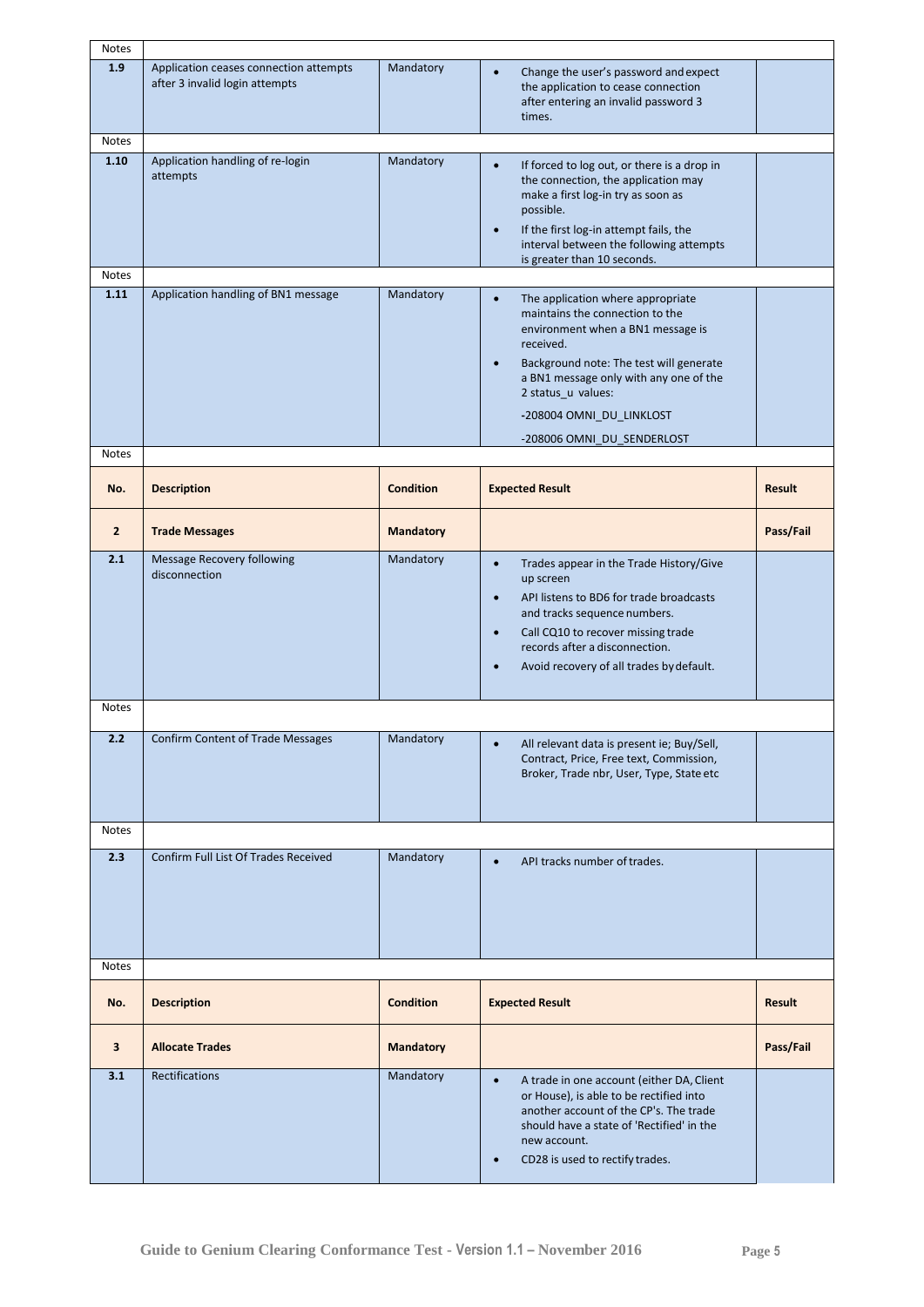| Notes                   |                                                                          |                  |                                                                                                                                                                                                                                                                                                                       |               |
|-------------------------|--------------------------------------------------------------------------|------------------|-----------------------------------------------------------------------------------------------------------------------------------------------------------------------------------------------------------------------------------------------------------------------------------------------------------------------|---------------|
| 1.9                     | Application ceases connection attempts<br>after 3 invalid login attempts | Mandatory        | Change the user's password and expect<br>the application to cease connection<br>after entering an invalid password 3<br>times.                                                                                                                                                                                        |               |
| Notes                   |                                                                          |                  |                                                                                                                                                                                                                                                                                                                       |               |
| 1.10                    | Application handling of re-login<br>attempts                             | Mandatory        | If forced to log out, or there is a drop in<br>$\bullet$<br>the connection, the application may<br>make a first log-in try as soon as<br>possible.<br>If the first log-in attempt fails, the<br>$\bullet$<br>interval between the following attempts<br>is greater than 10 seconds.                                   |               |
| Notes                   |                                                                          |                  |                                                                                                                                                                                                                                                                                                                       |               |
| 1.11                    | Application handling of BN1 message                                      | Mandatory        | The application where appropriate<br>$\bullet$<br>maintains the connection to the<br>environment when a BN1 message is<br>received.<br>Background note: The test will generate<br>$\bullet$<br>a BN1 message only with any one of the<br>2 status_u values:<br>-208004 OMNI DU LINKLOST<br>-208006 OMNI_DU_SENDERLOST |               |
| <b>Notes</b>            |                                                                          |                  |                                                                                                                                                                                                                                                                                                                       |               |
| No.                     | <b>Description</b>                                                       | <b>Condition</b> | <b>Expected Result</b>                                                                                                                                                                                                                                                                                                | <b>Result</b> |
| $\overline{2}$          | <b>Trade Messages</b>                                                    | <b>Mandatory</b> |                                                                                                                                                                                                                                                                                                                       | Pass/Fail     |
| 2.1                     | Message Recovery following<br>disconnection                              | Mandatory        | $\bullet$<br>Trades appear in the Trade History/Give<br>up screen<br>API listens to BD6 for trade broadcasts<br>$\bullet$<br>and tracks sequence numbers.<br>Call CQ10 to recover missing trade<br>$\bullet$<br>records after a disconnection.<br>Avoid recovery of all trades by default.                            |               |
| <b>Notes</b>            |                                                                          |                  |                                                                                                                                                                                                                                                                                                                       |               |
| 2.2                     | Confirm Content of Trade Messages                                        | Mandatory        | All relevant data is present ie; Buy/Sell,<br>Contract, Price, Free text, Commission,<br>Broker, Trade nbr, User, Type, State etc                                                                                                                                                                                     |               |
| <b>Notes</b>            |                                                                          |                  |                                                                                                                                                                                                                                                                                                                       |               |
| 2.3                     | Confirm Full List Of Trades Received                                     | Mandatory        | API tracks number of trades.<br>$\bullet$                                                                                                                                                                                                                                                                             |               |
| <b>Notes</b>            |                                                                          |                  |                                                                                                                                                                                                                                                                                                                       |               |
| No.                     | <b>Description</b>                                                       | <b>Condition</b> | <b>Expected Result</b>                                                                                                                                                                                                                                                                                                | Result        |
| $\overline{\mathbf{3}}$ | <b>Allocate Trades</b>                                                   | <b>Mandatory</b> |                                                                                                                                                                                                                                                                                                                       | Pass/Fail     |
| 3.1                     | <b>Rectifications</b>                                                    | Mandatory        | A trade in one account (either DA, Client<br>$\bullet$<br>or House), is able to be rectified into<br>another account of the CP's. The trade<br>should have a state of 'Rectified' in the<br>new account.<br>CD28 is used to rectify trades.                                                                           |               |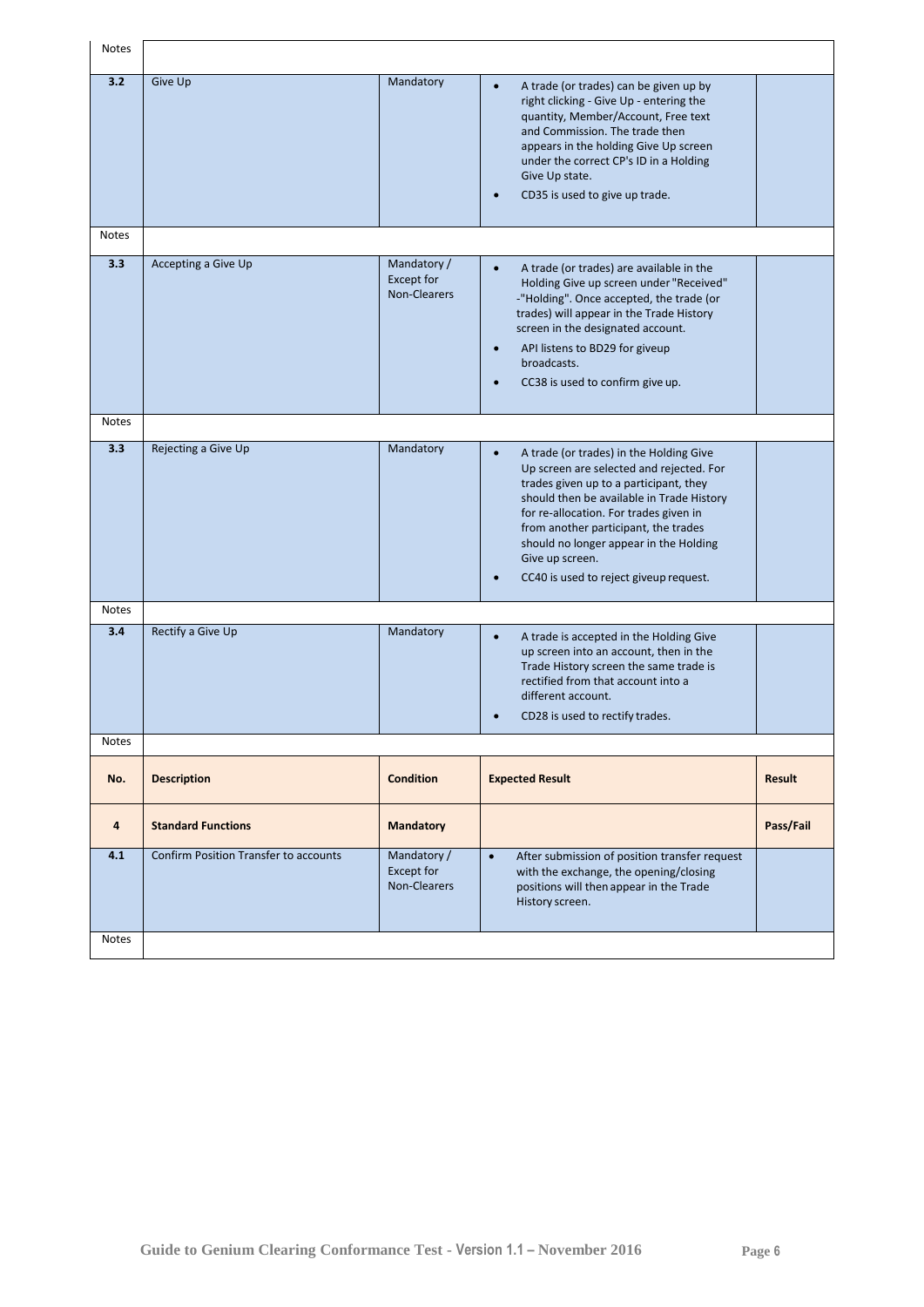| Notes               |                                              |                                                  |                                                                                                                                                                                                                                                                                                                                                                                  |           |
|---------------------|----------------------------------------------|--------------------------------------------------|----------------------------------------------------------------------------------------------------------------------------------------------------------------------------------------------------------------------------------------------------------------------------------------------------------------------------------------------------------------------------------|-----------|
| 3.2                 | Give Up                                      | Mandatory                                        | A trade (or trades) can be given up by<br>right clicking - Give Up - entering the<br>quantity, Member/Account, Free text<br>and Commission. The trade then<br>appears in the holding Give Up screen<br>under the correct CP's ID in a Holding<br>Give Up state.<br>CD35 is used to give up trade.                                                                                |           |
| <b>Notes</b>        |                                              |                                                  |                                                                                                                                                                                                                                                                                                                                                                                  |           |
| 3.3                 | Accepting a Give Up                          | Mandatory /<br><b>Except for</b><br>Non-Clearers | A trade (or trades) are available in the<br>$\bullet$<br>Holding Give up screen under "Received"<br>-"Holding". Once accepted, the trade (or<br>trades) will appear in the Trade History<br>screen in the designated account.<br>API listens to BD29 for giveup<br>$\bullet$<br>broadcasts.<br>CC38 is used to confirm give up.                                                  |           |
| <b>Notes</b>        |                                              |                                                  |                                                                                                                                                                                                                                                                                                                                                                                  |           |
| 3.3                 | Rejecting a Give Up                          | Mandatory                                        | A trade (or trades) in the Holding Give<br>$\bullet$<br>Up screen are selected and rejected. For<br>trades given up to a participant, they<br>should then be available in Trade History<br>for re-allocation. For trades given in<br>from another participant, the trades<br>should no longer appear in the Holding<br>Give up screen.<br>CC40 is used to reject giveup request. |           |
| <b>Notes</b>        |                                              |                                                  |                                                                                                                                                                                                                                                                                                                                                                                  |           |
| 3.4                 | Rectify a Give Up                            | Mandatory                                        | A trade is accepted in the Holding Give<br>up screen into an account, then in the<br>Trade History screen the same trade is<br>rectified from that account into a<br>different account.<br>CD28 is used to rectify trades.                                                                                                                                                       |           |
| <b>Notes</b>        |                                              |                                                  |                                                                                                                                                                                                                                                                                                                                                                                  |           |
| No.                 | <b>Description</b>                           | <b>Condition</b>                                 | <b>Expected Result</b>                                                                                                                                                                                                                                                                                                                                                           | Result    |
| 4                   | <b>Standard Functions</b>                    | <b>Mandatory</b>                                 |                                                                                                                                                                                                                                                                                                                                                                                  | Pass/Fail |
| 4.1<br><b>Notes</b> | <b>Confirm Position Transfer to accounts</b> | Mandatory /<br><b>Except for</b><br>Non-Clearers | $\bullet$<br>After submission of position transfer request<br>with the exchange, the opening/closing<br>positions will then appear in the Trade<br>History screen.                                                                                                                                                                                                               |           |
|                     |                                              |                                                  |                                                                                                                                                                                                                                                                                                                                                                                  |           |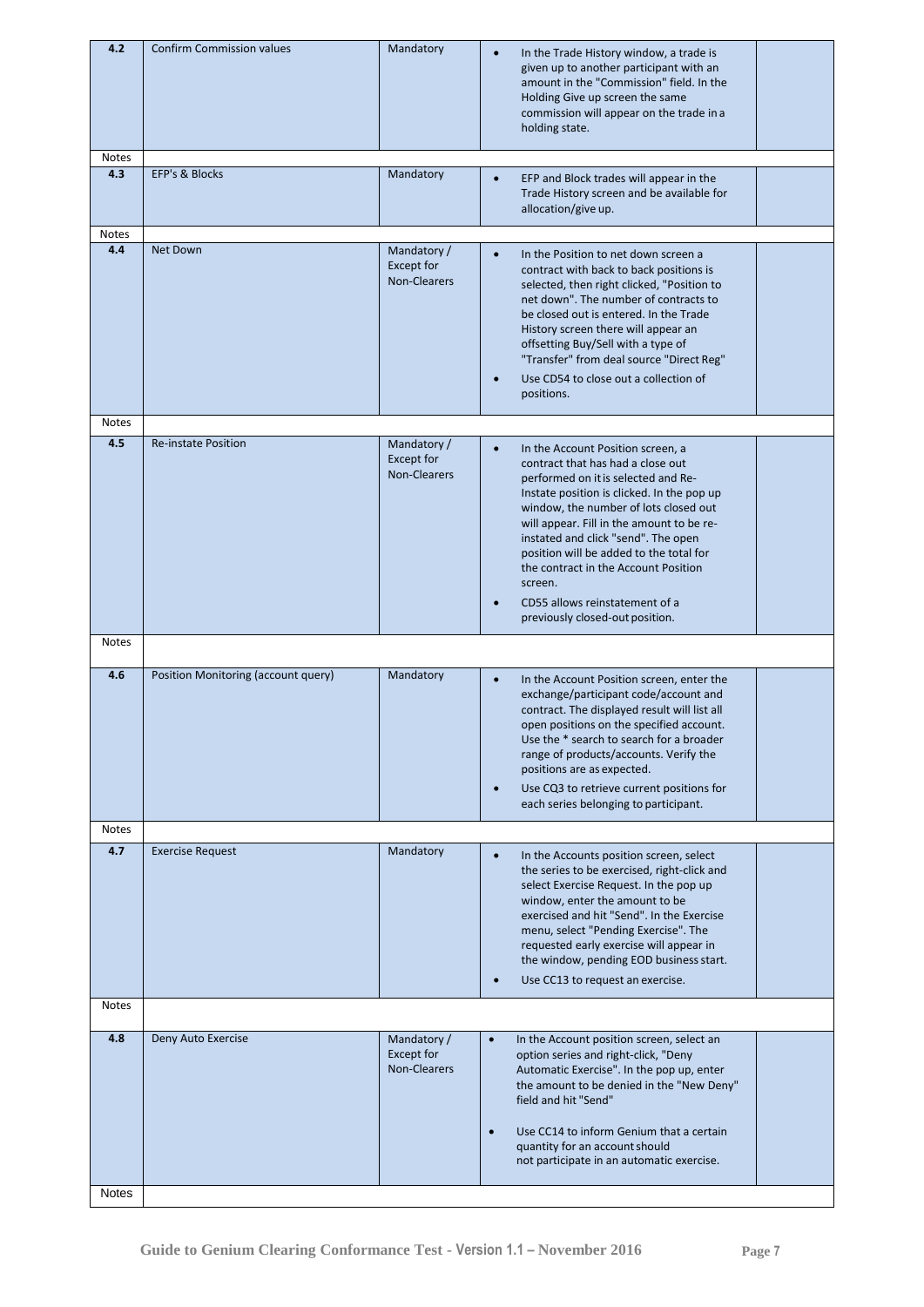| 4.2                 | <b>Confirm Commission values</b>    | Mandatory                                               | In the Trade History window, a trade is<br>given up to another participant with an<br>amount in the "Commission" field. In the<br>Holding Give up screen the same<br>commission will appear on the trade in a<br>holding state.                                                                                                                                                                                                                                          |
|---------------------|-------------------------------------|---------------------------------------------------------|--------------------------------------------------------------------------------------------------------------------------------------------------------------------------------------------------------------------------------------------------------------------------------------------------------------------------------------------------------------------------------------------------------------------------------------------------------------------------|
| <b>Notes</b><br>4.3 | <b>EFP's &amp; Blocks</b>           | Mandatory                                               | EFP and Block trades will appear in the<br>Trade History screen and be available for<br>allocation/give up.                                                                                                                                                                                                                                                                                                                                                              |
| <b>Notes</b>        |                                     |                                                         |                                                                                                                                                                                                                                                                                                                                                                                                                                                                          |
| 4.4                 | <b>Net Down</b>                     | Mandatory /<br>Except for<br><b>Non-Clearers</b>        | In the Position to net down screen a<br>$\bullet$<br>contract with back to back positions is<br>selected, then right clicked, "Position to<br>net down". The number of contracts to<br>be closed out is entered. In the Trade<br>History screen there will appear an<br>offsetting Buy/Sell with a type of<br>"Transfer" from deal source "Direct Reg"<br>Use CD54 to close out a collection of<br>positions.                                                            |
| Notes               |                                     |                                                         |                                                                                                                                                                                                                                                                                                                                                                                                                                                                          |
| 4.5                 | <b>Re-instate Position</b>          | Mandatory /<br><b>Except for</b><br>Non-Clearers        | In the Account Position screen, a<br>$\bullet$<br>contract that has had a close out<br>performed on it is selected and Re-<br>Instate position is clicked. In the pop up<br>window, the number of lots closed out<br>will appear. Fill in the amount to be re-<br>instated and click "send". The open<br>position will be added to the total for<br>the contract in the Account Position<br>screen.<br>CD55 allows reinstatement of a<br>previously closed-out position. |
| <b>Notes</b>        |                                     |                                                         |                                                                                                                                                                                                                                                                                                                                                                                                                                                                          |
| 4.6                 | Position Monitoring (account query) | Mandatory                                               | In the Account Position screen, enter the<br>exchange/participant code/account and<br>contract. The displayed result will list all<br>open positions on the specified account.<br>Use the * search to search for a broader<br>range of products/accounts. Verify the<br>positions are as expected.<br>Use CQ3 to retrieve current positions for<br>each series belonging to participant.                                                                                 |
| <b>Notes</b>        |                                     |                                                         |                                                                                                                                                                                                                                                                                                                                                                                                                                                                          |
| 4.7                 | <b>Exercise Request</b>             | Mandatory                                               | In the Accounts position screen, select<br>$\bullet$<br>the series to be exercised, right-click and<br>select Exercise Request. In the pop up<br>window, enter the amount to be<br>exercised and hit "Send". In the Exercise<br>menu, select "Pending Exercise". The<br>requested early exercise will appear in<br>the window, pending EOD business start.<br>Use CC13 to request an exercise.<br>$\bullet$                                                              |
| <b>Notes</b>        |                                     |                                                         |                                                                                                                                                                                                                                                                                                                                                                                                                                                                          |
| 4.8                 | Deny Auto Exercise                  | Mandatory /<br><b>Except for</b><br><b>Non-Clearers</b> | $\bullet$<br>In the Account position screen, select an<br>option series and right-click, "Deny<br>Automatic Exercise". In the pop up, enter<br>the amount to be denied in the "New Deny"<br>field and hit "Send"<br>Use CC14 to inform Genium that a certain<br>$\bullet$<br>quantity for an account should                                                                                                                                                              |
|                     |                                     |                                                         | not participate in an automatic exercise.                                                                                                                                                                                                                                                                                                                                                                                                                                |